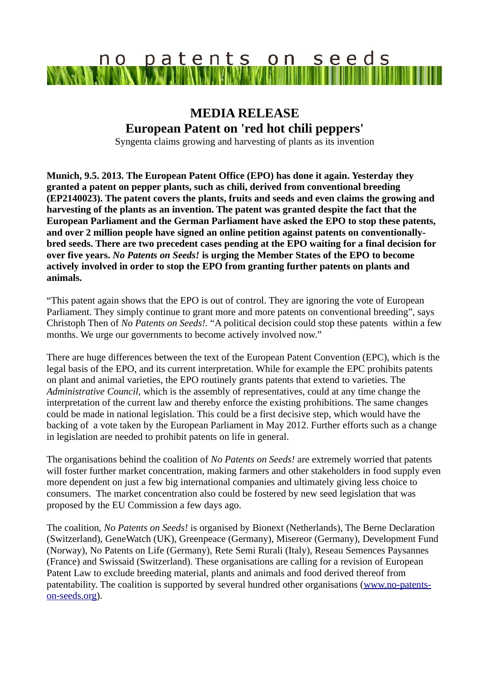## no patents on seeds VAJM MAN

## **MEDIA RELEASE European Patent on 'red hot chili peppers'**

Syngenta claims growing and harvesting of plants as its invention

**Munich, 9.5. 2013. The European Patent Office (EPO) has done it again. Yesterday they granted a patent on pepper plants, such as chili, derived from conventional breeding (EP2140023). The patent covers the plants, fruits and seeds and even claims the growing and harvesting of the plants as an invention. The patent was granted despite the fact that the European Parliament and the German Parliament have asked the EPO to stop these patents, and over 2 million people have signed an online petition against patents on conventionallybred seeds. There are two precedent cases pending at the EPO waiting for a final decision for over five years.** *No Patents on Seeds!* **is urging the Member States of the EPO to become actively involved in order to stop the EPO from granting further patents on plants and animals.** 

"This patent again shows that the EPO is out of control. They are ignoring the vote of European Parliament. They simply continue to grant more and more patents on conventional breeding", says Christoph Then of *No Patents on Seeds!.* "A political decision could stop these patents within a few months. We urge our governments to become actively involved now."

There are huge differences between the text of the European Patent Convention (EPC), which is the legal basis of the EPO, and its current interpretation. While for example the EPC prohibits patents on plant and animal varieties, the EPO routinely grants patents that extend to varieties. The *Administrative Council,* which is the assembly of representatives, could at any time change the interpretation of the current law and thereby enforce the existing prohibitions. The same changes could be made in national legislation. This could be a first decisive step, which would have the backing of a vote taken by the European Parliament in May 2012. Further efforts such as a change in legislation are needed to prohibit patents on life in general.

The organisations behind the coalition of *No Patents on Seeds!* are extremely worried that patents will foster further market concentration, making farmers and other stakeholders in food supply even more dependent on just a few big international companies and ultimately giving less choice to consumers. The market concentration also could be fostered by new seed legislation that was proposed by the EU Commission a few days ago.

The coalition, *No Patents on Seeds!* is organised by Bionext (Netherlands), The Berne Declaration (Switzerland), GeneWatch (UK), Greenpeace (Germany), Misereor (Germany), Development Fund (Norway), No Patents on Life (Germany), Rete Semi Rurali (Italy), Reseau Semences Paysannes (France) and Swissaid (Switzerland). These organisations are calling for a revision of European Patent Law to exclude breeding material, plants and animals and food derived thereof from patentability. The coalition is supported by several hundred other organisations [\(www.no-patents](http://www.no-patents-on-seeds.org/)[on-seeds.org\)](http://www.no-patents-on-seeds.org/).